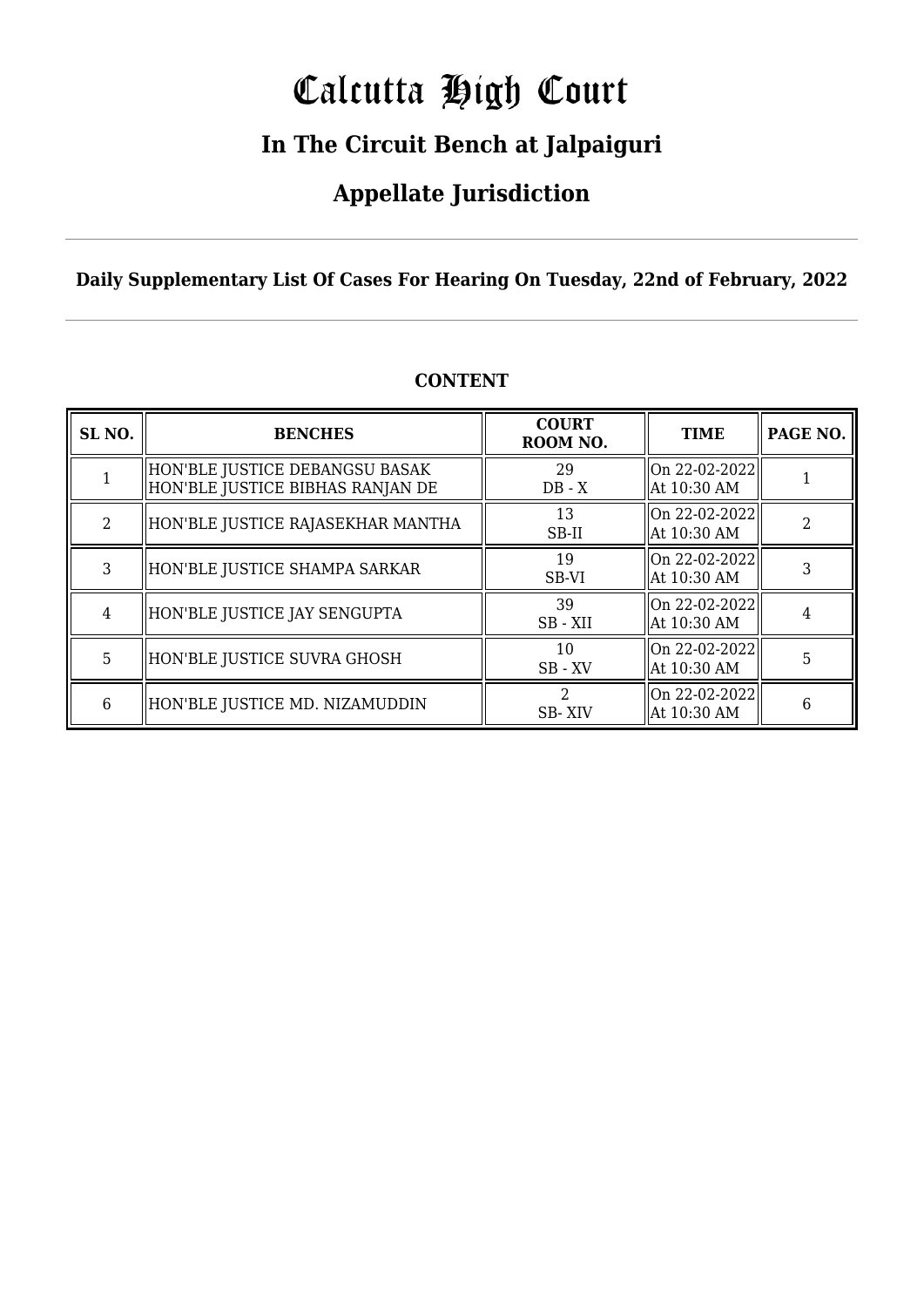# Calcutta High Court

### **In The Circuit Bench at Jalpaiguri**

### **Appellate Jurisdiction**

**Daily Supplementary List Of Cases For Hearing On Tuesday, 22nd of February, 2022**

| SL <sub>NO.</sub> | <b>BENCHES</b>                                                     | <b>COURT</b><br>ROOM NO. | <b>TIME</b>                                    | PAGE NO. |
|-------------------|--------------------------------------------------------------------|--------------------------|------------------------------------------------|----------|
|                   | HON'BLE JUSTICE DEBANGSU BASAK<br>HON'BLE JUSTICE BIBHAS RANJAN DE | 29<br>$DB - X$           | $ On 22-02-2022 $<br>At 10:30 AM               |          |
| 2                 | HON'BLE JUSTICE RAJASEKHAR MANTHA                                  | 13<br>SB-II              | $\vert$ On 22-02-2022 $\vert$<br>  At 10:30 AM |          |
| 3                 | HON'BLE JUSTICE SHAMPA SARKAR                                      | 19<br>SB-VI              | On 22-02-2022<br>  At 10:30 AM                 |          |
| 4                 | HON'BLE JUSTICE JAY SENGUPTA                                       | 39<br>SB-XII             | lOn 22-02-2022l<br>  At 10:30 AM               |          |
| 5                 | HON'BLE JUSTICE SUVRA GHOSH                                        | 10<br>$SB$ - $XV$        | $ On 22-02-2022 $<br>  At 10:30 AM             | 5        |
| 6                 | HON'BLE JUSTICE MD. NIZAMUDDIN                                     | <b>SB-XIV</b>            | $ On 22-02-2022 $<br>  At 10:30 AM             | 6        |

### **CONTENT**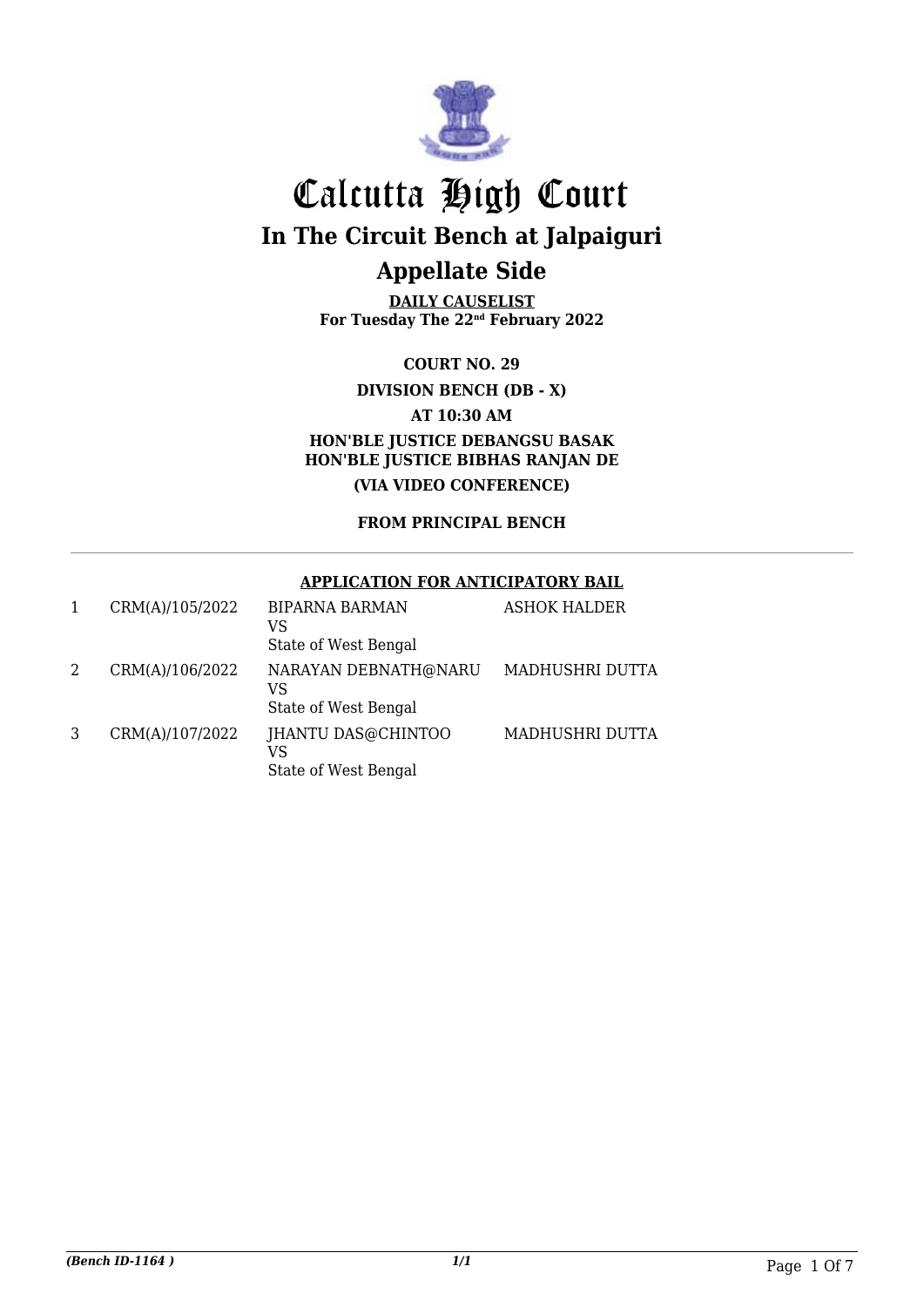

**DAILY CAUSELIST For Tuesday The 22nd February 2022**

**COURT NO. 29**

**DIVISION BENCH (DB - X)**

**AT 10:30 AM**

**HON'BLE JUSTICE DEBANGSU BASAK HON'BLE JUSTICE BIBHAS RANJAN DE (VIA VIDEO CONFERENCE)**

**FROM PRINCIPAL BENCH**

#### **APPLICATION FOR ANTICIPATORY BAIL**

|   | CRM(A)/105/2022 | <b>BIPARNA BARMAN</b><br>VS<br>State of West Bengal     | <b>ASHOK HALDER</b> |
|---|-----------------|---------------------------------------------------------|---------------------|
| 2 | CRM(A)/106/2022 | NARAYAN DEBNATH@NARU<br>VS<br>State of West Bengal      | MADHUSHRI DUTTA     |
|   | CRM(A)/107/2022 | <b>JHANTU DAS@CHINTOO</b><br>VS<br>State of West Bengal | MADHUSHRI DUTTA     |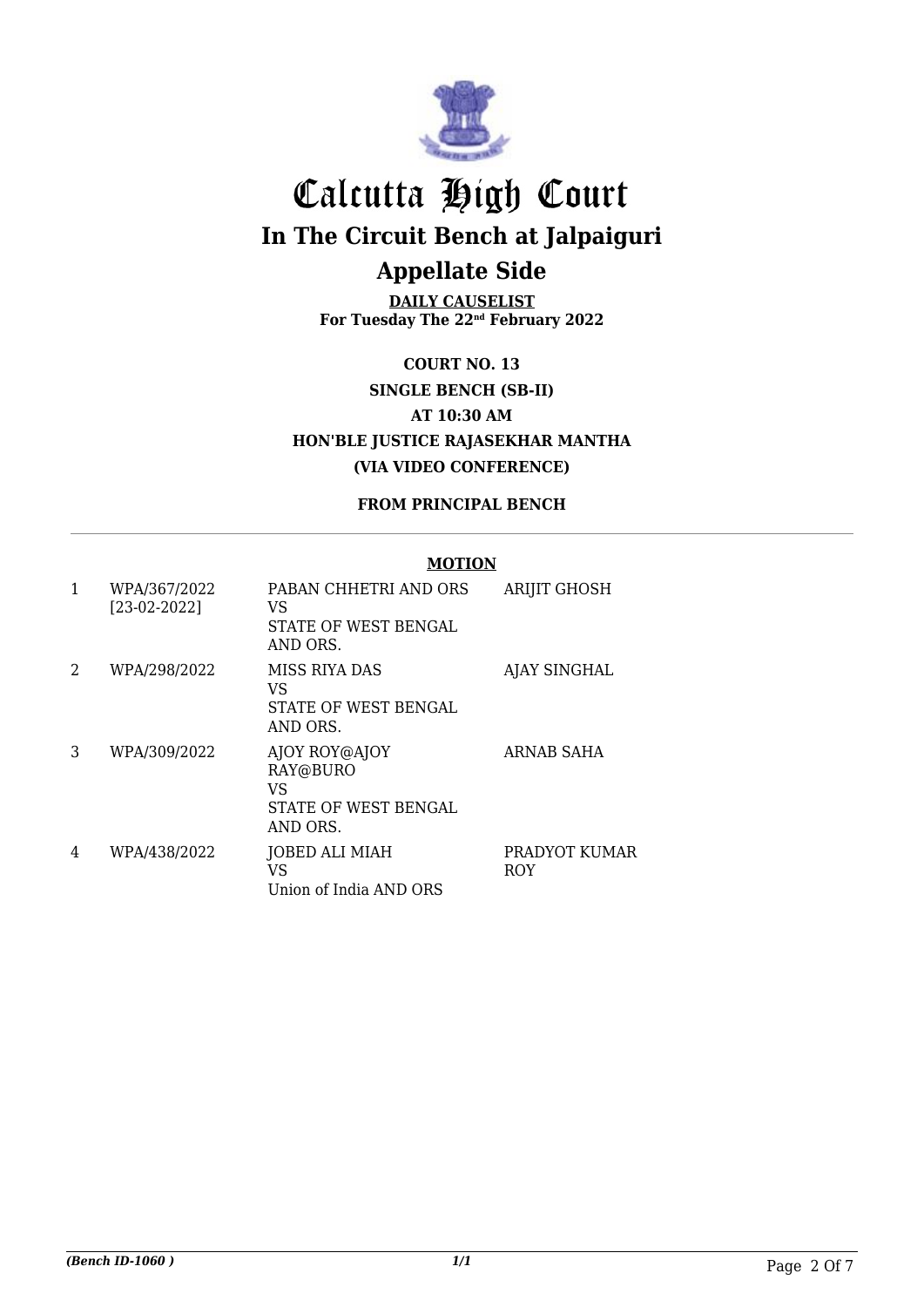

**DAILY CAUSELIST For Tuesday The 22nd February 2022**

**COURT NO. 13 SINGLE BENCH (SB-II) AT 10:30 AM HON'BLE JUSTICE RAJASEKHAR MANTHA (VIA VIDEO CONFERENCE)**

### **FROM PRINCIPAL BENCH**

#### **MOTION**

| $\mathbf{1}$ | WPA/367/2022<br>$[23-02-2022]$ | PABAN CHHETRI AND ORS<br>VS<br>STATE OF WEST BENGAL<br>AND ORS.            | <b>ARIJIT GHOSH</b>  |
|--------------|--------------------------------|----------------------------------------------------------------------------|----------------------|
| 2            | WPA/298/2022                   | MISS RIYA DAS<br>VS<br>STATE OF WEST BENGAL<br>AND ORS.                    | AJAY SINGHAL         |
| 3            | WPA/309/2022                   | AJOY ROY@AJOY<br>RAY@BURO<br>VS<br><b>STATE OF WEST BENGAL</b><br>AND ORS. | ARNAB SAHA           |
| 4            | WPA/438/2022                   | <b>JOBED ALI MIAH</b><br>VS<br>Union of India AND ORS                      | PRADYOT KUMAR<br>ROY |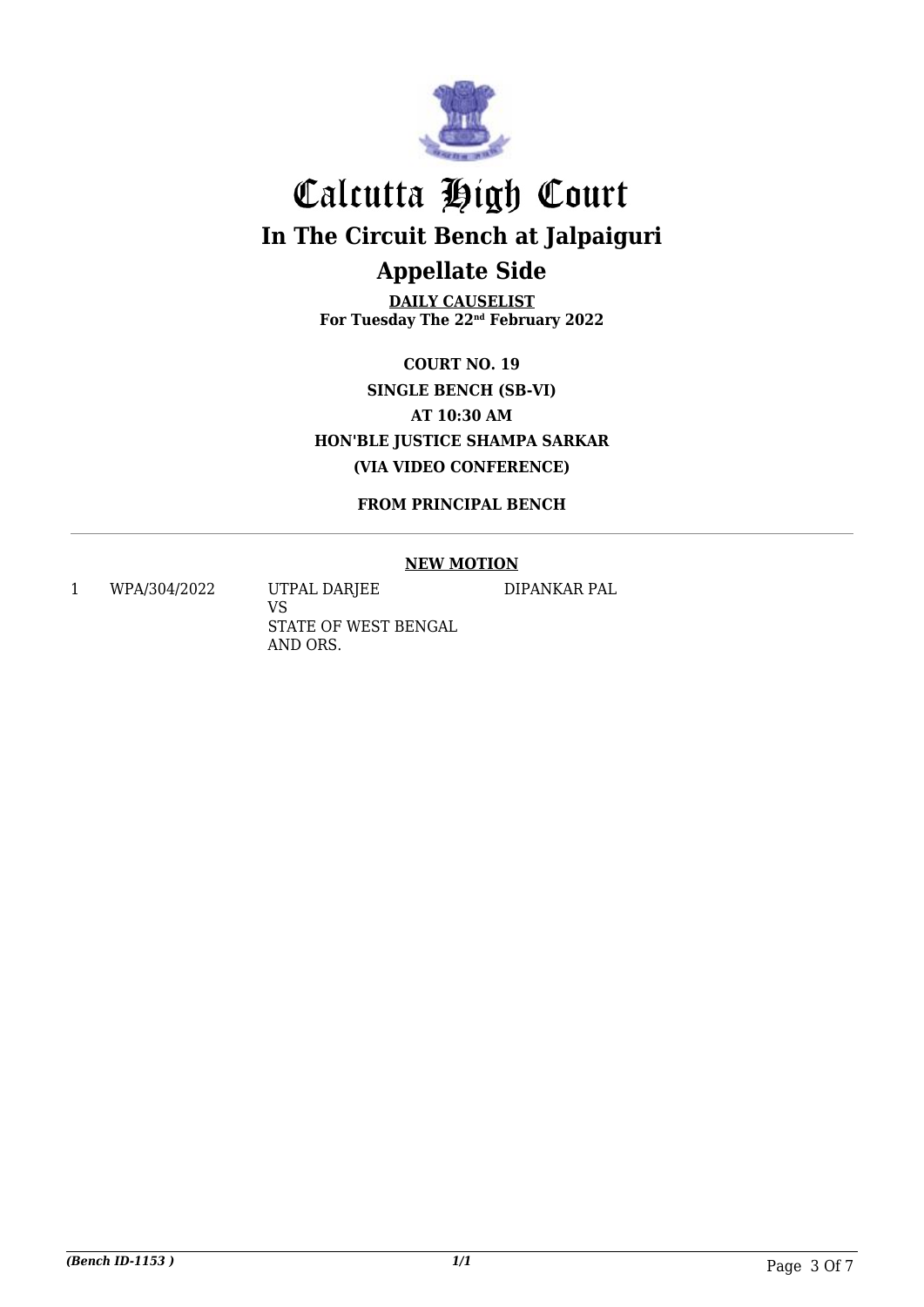

**DAILY CAUSELIST For Tuesday The 22nd February 2022**

**COURT NO. 19 SINGLE BENCH (SB-VI) AT 10:30 AM HON'BLE JUSTICE SHAMPA SARKAR (VIA VIDEO CONFERENCE)**

**FROM PRINCIPAL BENCH**

#### **NEW MOTION**

1 WPA/304/2022 UTPAL DARJEE

VS STATE OF WEST BENGAL AND ORS.

DIPANKAR PAL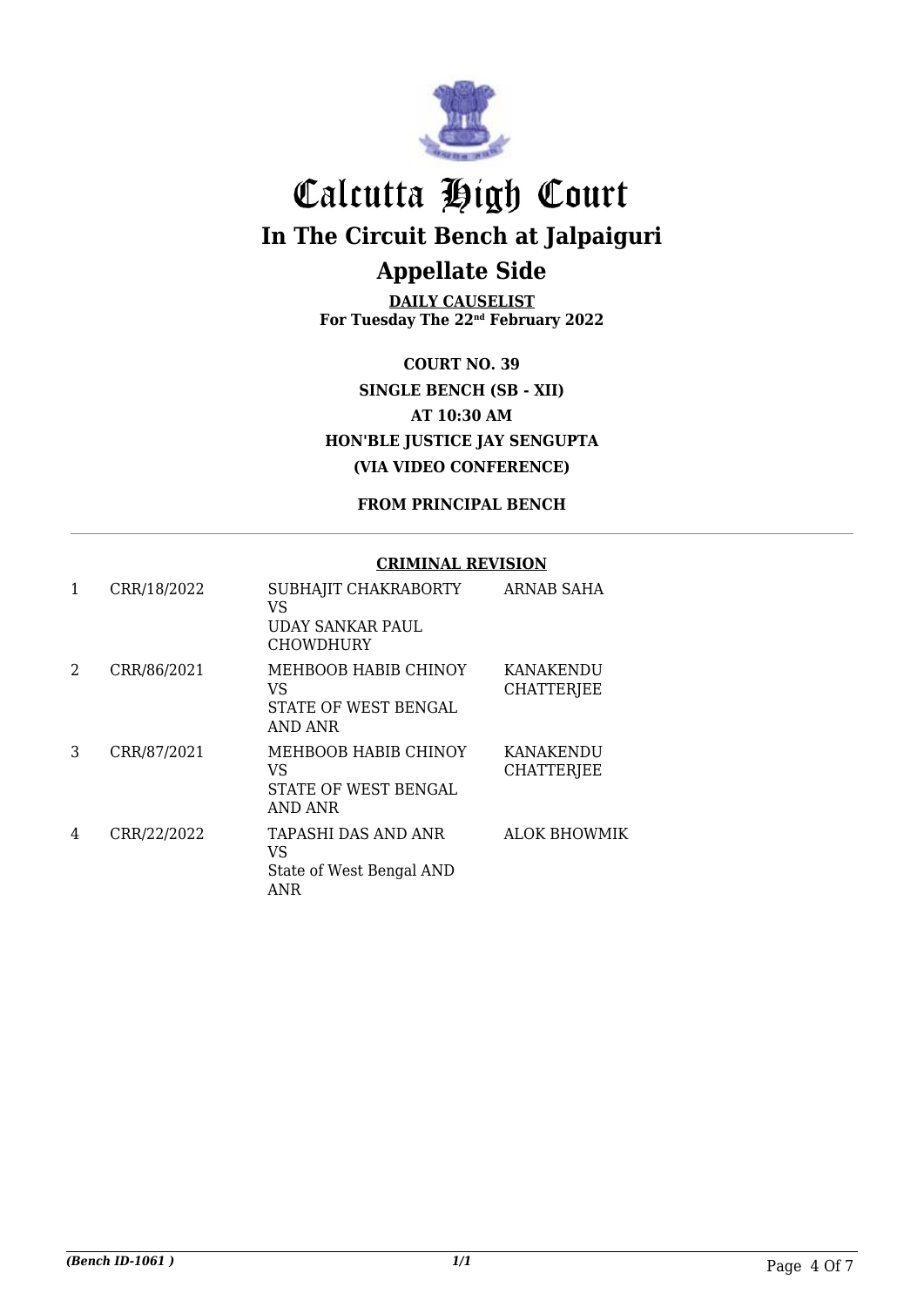

**DAILY CAUSELIST For Tuesday The 22nd February 2022**

**COURT NO. 39 SINGLE BENCH (SB - XII) AT 10:30 AM HON'BLE JUSTICE JAY SENGUPTA (VIA VIDEO CONFERENCE)**

**FROM PRINCIPAL BENCH**

#### **CRIMINAL REVISION**

| 1              | CRR/18/2022 | SUBHAJIT CHAKRABORTY<br>VS<br>UDAY SANKAR PAUL<br><b>CHOWDHURY</b> | <b>ARNAB SAHA</b>              |
|----------------|-------------|--------------------------------------------------------------------|--------------------------------|
| $\mathfrak{D}$ | CRR/86/2021 | MEHBOOB HABIB CHINOY<br>VS<br>STATE OF WEST BENGAL<br>AND ANR      | KANAKENDU<br><b>CHATTERJEE</b> |
| 3              | CRR/87/2021 | MEHBOOB HABIB CHINOY<br>VS<br>STATE OF WEST BENGAL<br>AND ANR      | KANAKENDU<br><b>CHATTERJEE</b> |
| 4              | CRR/22/2022 | TAPASHI DAS AND ANR<br>VS<br>State of West Bengal AND<br>ANR       | <b>ALOK BHOWMIK</b>            |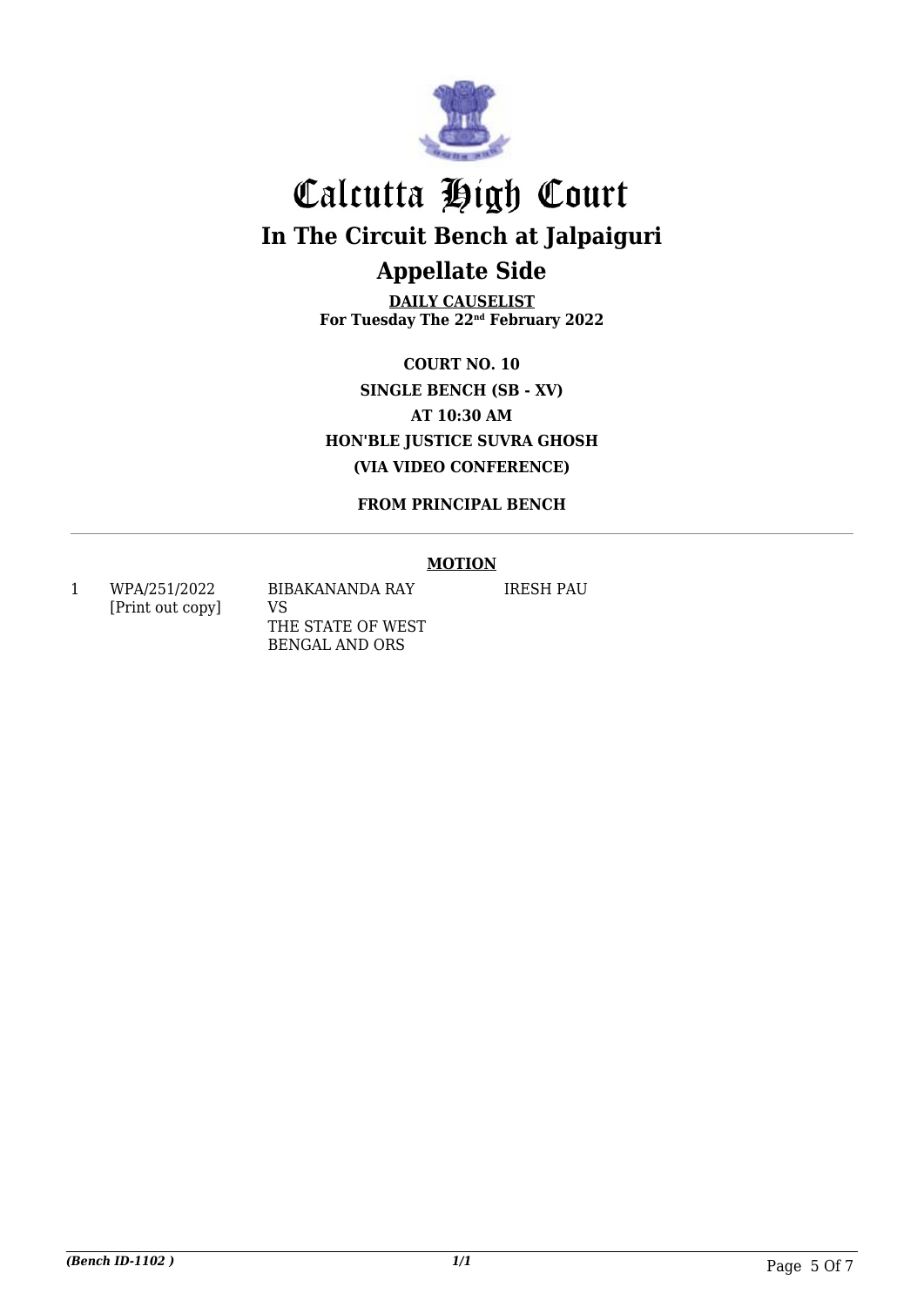

**DAILY CAUSELIST For Tuesday The 22nd February 2022**

**COURT NO. 10 SINGLE BENCH (SB - XV) AT 10:30 AM HON'BLE JUSTICE SUVRA GHOSH (VIA VIDEO CONFERENCE)**

**FROM PRINCIPAL BENCH**

#### **MOTION**

IRESH PAU

1 WPA/251/2022 [Print out copy] BIBAKANANDA RAY VS THE STATE OF WEST BENGAL AND ORS

*(Bench ID-1102 ) 1/1* Page 5 Of 7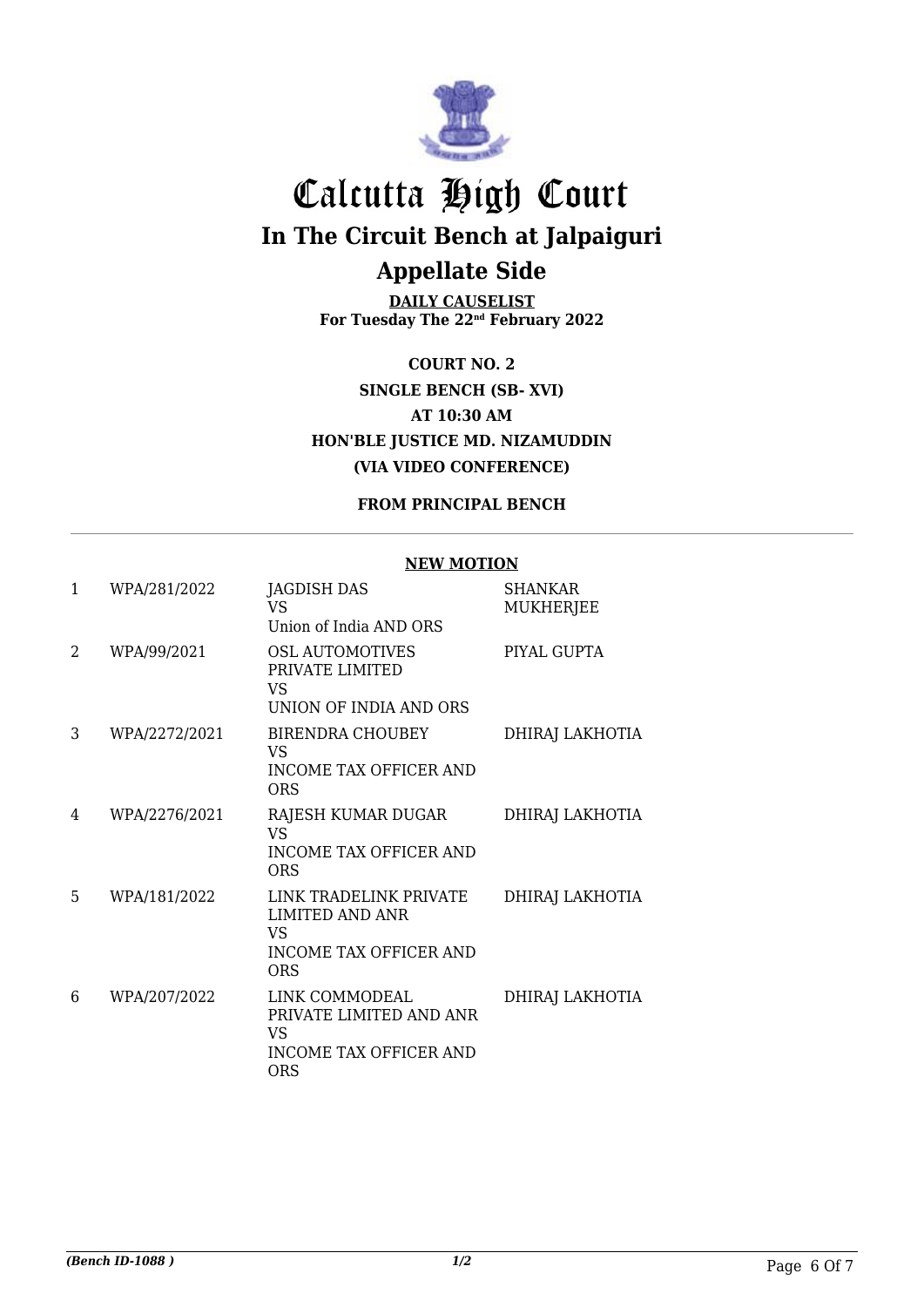

**DAILY CAUSELIST For Tuesday The 22nd February 2022**

**COURT NO. 2 SINGLE BENCH (SB- XVI) AT 10:30 AM HON'BLE JUSTICE MD. NIZAMUDDIN (VIA VIDEO CONFERENCE)**

### **FROM PRINCIPAL BENCH**

#### **NEW MOTION**

| $\mathbf{1}$ | WPA/281/2022  | <b>JAGDISH DAS</b><br><b>VS</b><br>Union of India AND ORS                                       | <b>SHANKAR</b><br><b>MUKHERJEE</b> |
|--------------|---------------|-------------------------------------------------------------------------------------------------|------------------------------------|
| 2            | WPA/99/2021   | <b>OSL AUTOMOTIVES</b><br>PRIVATE LIMITED<br>VS.<br>UNION OF INDIA AND ORS                      | PIYAL GUPTA                        |
| 3            | WPA/2272/2021 | BIRENDRA CHOUBEY<br>VS<br>INCOME TAX OFFICER AND<br>ORS                                         | DHIRAJ LAKHOTIA                    |
| 4            | WPA/2276/2021 | RAJESH KUMAR DUGAR<br><b>VS</b><br>INCOME TAX OFFICER AND<br>ORS                                | DHIRAJ LAKHOTIA                    |
| 5            | WPA/181/2022  | LINK TRADELINK PRIVATE<br><b>LIMITED AND ANR</b><br>VS.<br><b>INCOME TAX OFFICER AND</b><br>ORS | DHIRAJ LAKHOTIA                    |
| 6            | WPA/207/2022  | LINK COMMODEAL<br>PRIVATE LIMITED AND ANR<br>VS<br><b>INCOME TAX OFFICER AND</b><br>ORS         | DHIRAJ LAKHOTIA                    |